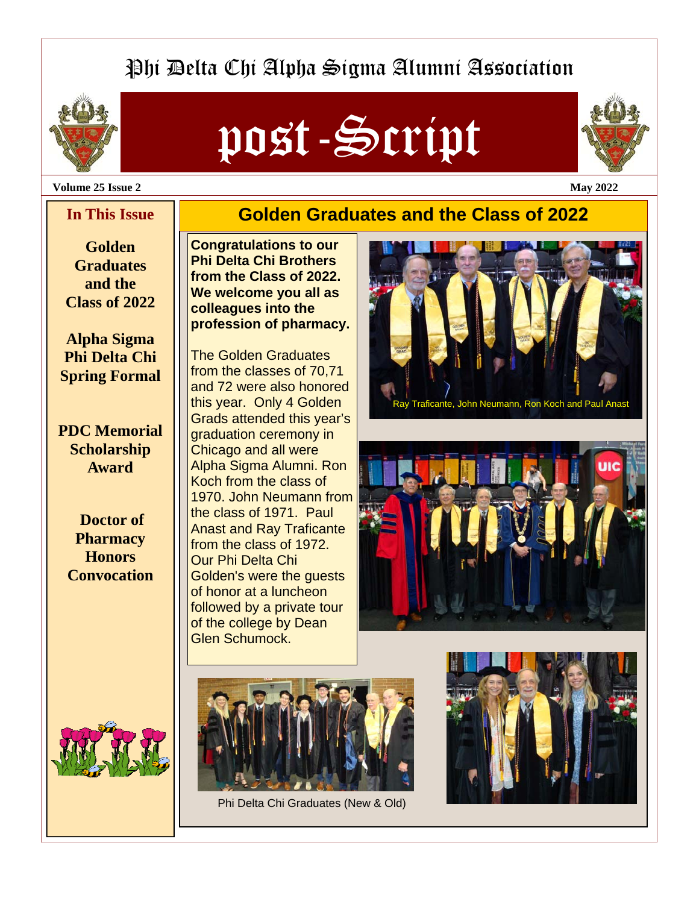# Phi Delta Chi Alpha Sigma Alumni Association



# post-Script

**Golden Graduates and the Class of 2022**



#### **Volume 25 Issue 2 May 2022**

### **In This Issue**

**Golden Graduates and the Class of 2022** 

**Alpha Sigma Phi Delta Chi Spring Formal** 

**PDC Memorial Scholarship Award** 

**Doctor of Pharmacy Honors Convocation** 



**Congratulations to our Phi Delta Chi Brothers from the Class of 2022. We welcome you all as colleagues into the profession of pharmacy.** 

The Golden Graduates from the classes of 70,71 and 72 were also honored this year. Only 4 Golden Grads attended this year's graduation ceremony in Chicago and all were Alpha Sigma Alumni. Ron Koch from the class of 1970. John Neumann from the class of 1971. Paul Anast and Ray Traficante from the class of 1972. Our Phi Delta Chi Golden's were the guests of honor at a luncheon followed by a private tour of the college by Dean Glen Schumock.







Phi Delta Chi Graduates (New & Old)

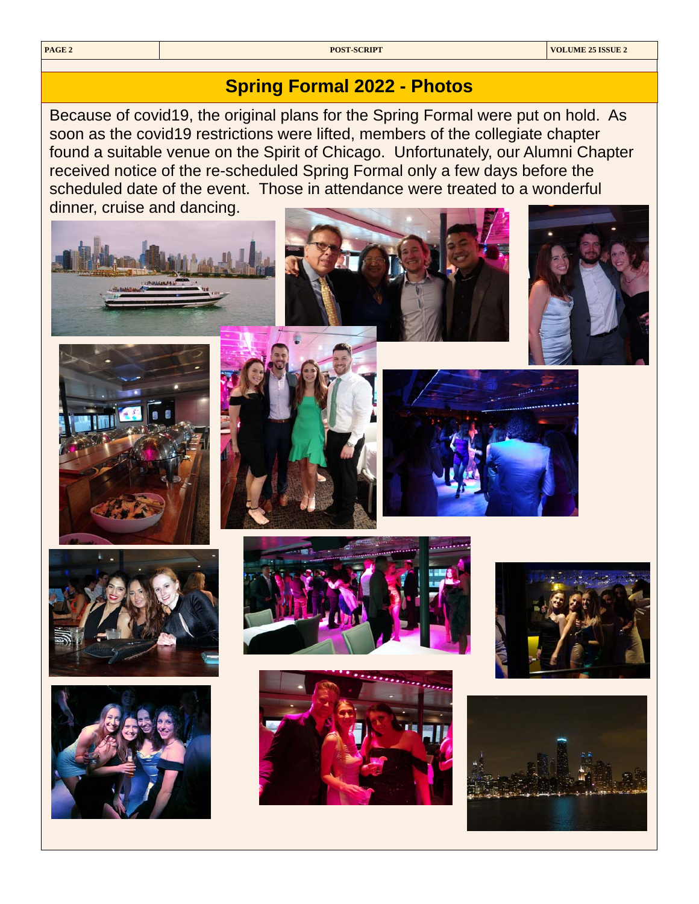## **Spring Formal 2022 - Photos**

Because of covid19, the original plans for the Spring Formal were put on hold. As soon as the covid19 restrictions were lifted, members of the collegiate chapter found a suitable venue on the Spirit of Chicago. Unfortunately, our Alumni Chapter received notice of the re-scheduled Spring Formal only a few days before the scheduled date of the event. Those in attendance were treated to a wonderful dinner, cruise and dancing.













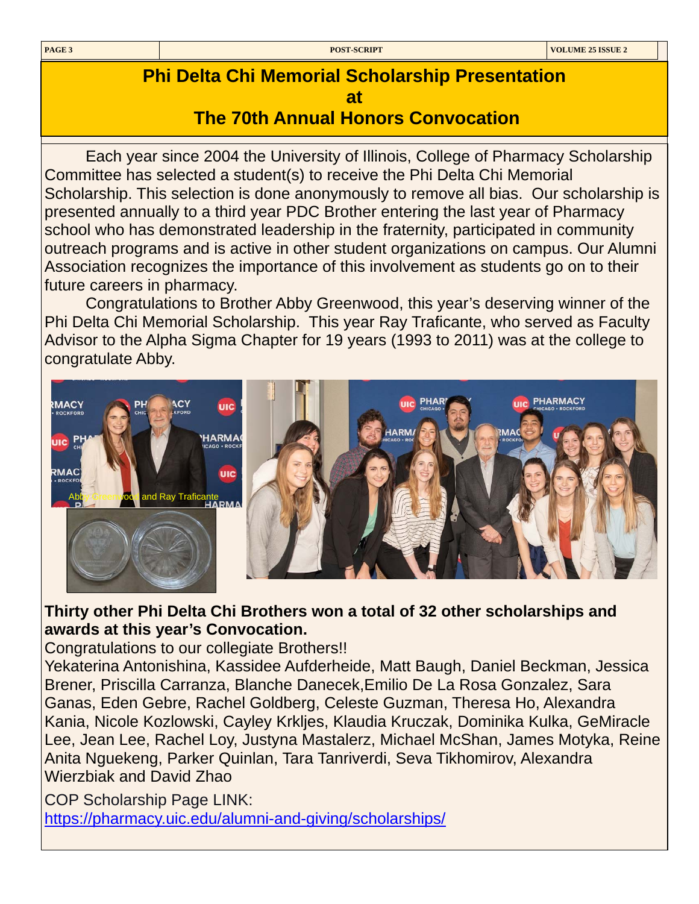# **Phi Delta Chi Memorial Scholarship Presentation at**

 **The 70th Annual Honors Convocation** 

Each year since 2004 the University of Illinois, College of Pharmacy Scholarship Committee has selected a student(s) to receive the Phi Delta Chi Memorial Scholarship. This selection is done anonymously to remove all bias. Our scholarship is presented annually to a third year PDC Brother entering the last year of Pharmacy school who has demonstrated leadership in the fraternity, participated in community outreach programs and is active in other student organizations on campus. Our Alumni Association recognizes the importance of this involvement as students go on to their future careers in pharmacy.

 Congratulations to Brother Abby Greenwood, this year's deserving winner of the Phi Delta Chi Memorial Scholarship. This year Ray Traficante, who served as Faculty Advisor to the Alpha Sigma Chapter for 19 years (1993 to 2011) was at the college to congratulate Abby.



## **Thirty other Phi Delta Chi Brothers won a total of 32 other scholarships and awards at this year's Convocation.**

Congratulations to our collegiate Brothers!!

Yekaterina Antonishina, Kassidee Aufderheide, Matt Baugh, Daniel Beckman, Jessica Brener, Priscilla Carranza, Blanche Danecek,Emilio De La Rosa Gonzalez, Sara Ganas, Eden Gebre, Rachel Goldberg, Celeste Guzman, Theresa Ho, Alexandra Kania, Nicole Kozlowski, Cayley Krkljes, Klaudia Kruczak, Dominika Kulka, GeMiracle Lee, Jean Lee, Rachel Loy, Justyna Mastalerz, Michael McShan, James Motyka, Reine Anita Nguekeng, Parker Quinlan, Tara Tanriverdi, Seva Tikhomirov, Alexandra Wierzbiak and David Zhao

COP Scholarship Page LINK:

<https://pharmacy.uic.edu/alumni-and-giving/scholarships/>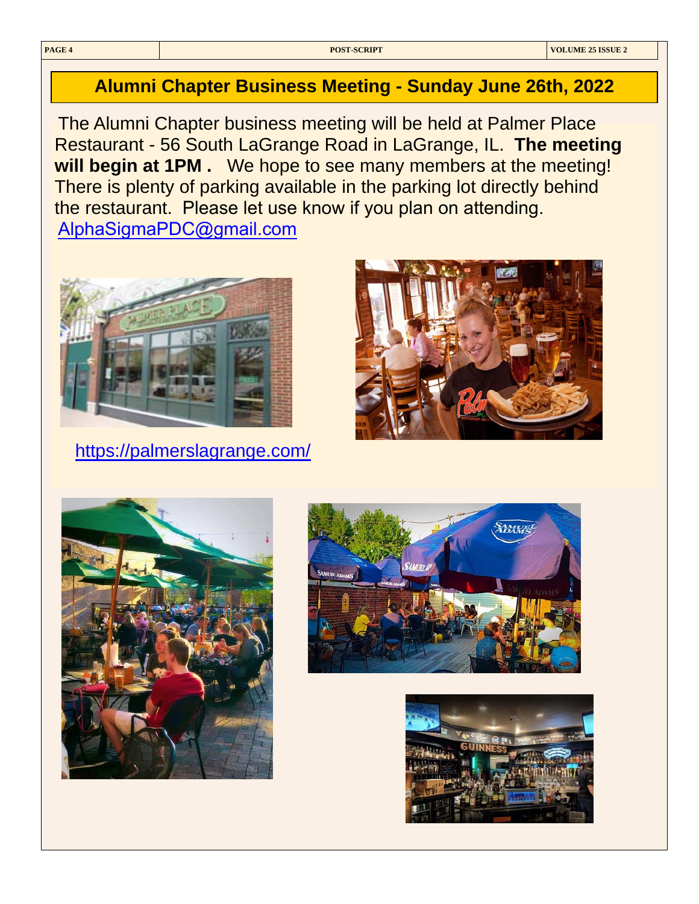## **Alumni Chapter Business Meeting - Sunday June 26th, 2022**

The Alumni Chapter business meeting will be held at Palmer Place Restaurant - 56 South LaGrange Road in LaGrange, IL. **The meeting will begin at 1PM .** We hope to see many members at the meeting! There is plenty of parking available in the parking lot directly behind the restaurant. Please let use know if you plan on attending. [AlphaSigmaPDC@gmail.com](mailto:AlphaSigmaPDC@gmail.com)



<https://palmerslagrange.com/>